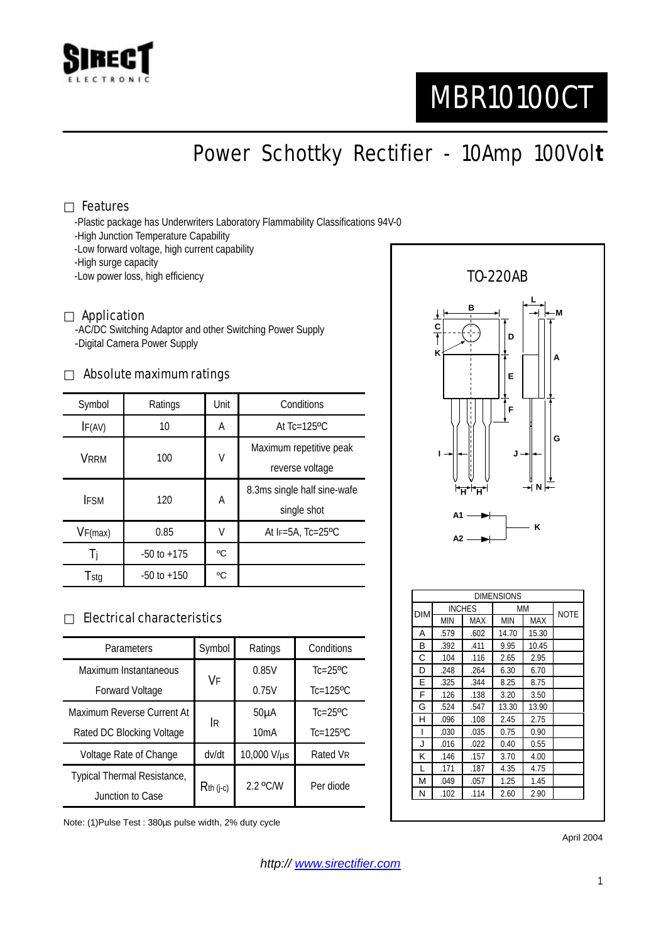

# MBR10100CT

Power Schottky Rectifier - 10Amp 100Vol**t**

#### Features

-Plastic package has Underwriters Laboratory Flammability Classifications 94V-0

- -High Junction Temperature Capability
- -Low forward voltage, high current capability
- -High surge capacity
- -Low power loss, high efficiency

#### Application

-AC/DC Switching Adaptor and other Switching Power Supply -Digital Camera Power Supply

#### Absolute maximum ratings

| Symbol      | Ratings         | Unit | Conditions                                 |  |
|-------------|-----------------|------|--------------------------------------------|--|
| IF(AV)      | 10              | А    | At $Tc=125$ <sup>o</sup> $C$               |  |
| VRRM        | 100             | V    | Maximum repetitive peak<br>reverse voltage |  |
| <b>IFSM</b> | 120             | А    | 8.3ms single half sine-wafe<br>single shot |  |
| VF(max)     | 0.85            | V    | At $F=5A$ , Tc=25°C                        |  |
| 1i          | $-50$ to $+175$ | °C   |                                            |  |
| Tstg        | $-50$ to $+150$ | °C   |                                            |  |

### Electrical characteristics

| Parameters                  | Symbol      | Ratings           | Conditions                |
|-----------------------------|-------------|-------------------|---------------------------|
| Maximum Instantaneous       | VF          | 0.85V             | $Tc=25$ <sup>o</sup> $C$  |
| <b>Forward Voltage</b>      |             | 0.75V             | $Tc=125$ <sup>o</sup> $C$ |
| Maximum Reverse Current At  | <b>IR</b>   | 50 <sub>µ</sub> A | $Tc=25$ <sup>o</sup> $C$  |
| Rated DC Blocking Voltage   |             | 10mA              | $Tc=125$ <sup>o</sup> $C$ |
| Voltage Rate of Change      | dv/dt       | 10,000 V/µs       | Rated VR                  |
| Typical Thermal Resistance, | $Rth$ (j-c) | 2.2 °C/W          | Per diode                 |
| Junction to Case            |             |                   |                           |

Note: (1)Pulse Test : 380µs pulse width, 2% duty cycle



April 2004